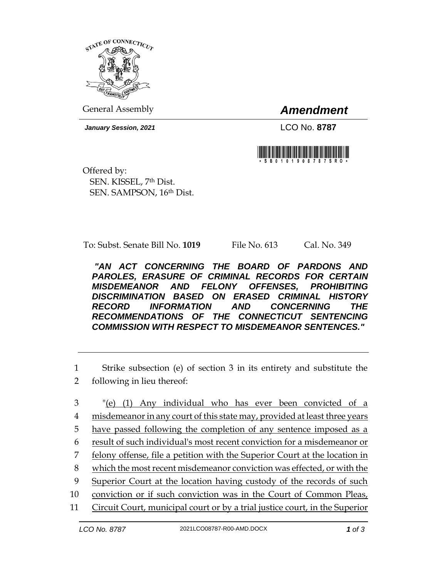

General Assembly *Amendment*

*January Session, 2021* LCO No. **8787**



Offered by: SEN. KISSEL, 7th Dist. SEN. SAMPSON, 16th Dist.

To: Subst. Senate Bill No. **1019** File No. 613 Cal. No. 349

*"AN ACT CONCERNING THE BOARD OF PARDONS AND PAROLES, ERASURE OF CRIMINAL RECORDS FOR CERTAIN MISDEMEANOR AND FELONY OFFENSES, PROHIBITING DISCRIMINATION BASED ON ERASED CRIMINAL HISTORY RECORD INFORMATION AND CONCERNING THE RECOMMENDATIONS OF THE CONNECTICUT SENTENCING COMMISSION WITH RESPECT TO MISDEMEANOR SENTENCES."* 

1 Strike subsection (e) of section 3 in its entirety and substitute the 2 following in lieu thereof:

 "(e) (1) Any individual who has ever been convicted of a misdemeanor in any court of this state may, provided at least three years have passed following the completion of any sentence imposed as a result of such individual's most recent conviction for a misdemeanor or 7 felony offense, file a petition with the Superior Court at the location in which the most recent misdemeanor conviction was effected, or with the Superior Court at the location having custody of the records of such conviction or if such conviction was in the Court of Common Pleas, Circuit Court, municipal court or by a trial justice court, in the Superior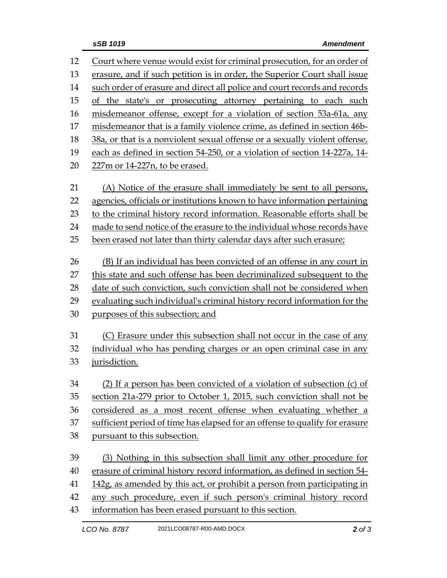| 12 | Court where venue would exist for criminal prosecution, for an order of     |
|----|-----------------------------------------------------------------------------|
| 13 | erasure, and if such petition is in order, the Superior Court shall issue   |
| 14 | such order of erasure and direct all police and court records and records   |
| 15 | of the state's or prosecuting attorney pertaining to each such              |
| 16 | misdemeanor offense, except for a violation of section 53a-61a, any         |
| 17 | misdemeanor that is a family violence crime, as defined in section 46b-     |
| 18 | 38a, or that is a nonviolent sexual offense or a sexually violent offense,  |
| 19 | each as defined in section 54-250, or a violation of section 14-227a, 14-   |
| 20 | 227m or 14-227n, to be erased.                                              |
| 21 | (A) Notice of the erasure shall immediately be sent to all persons,         |
| 22 | agencies, officials or institutions known to have information pertaining    |
| 23 | to the criminal history record information. Reasonable efforts shall be     |
| 24 | made to send notice of the erasure to the individual whose records have     |
| 25 | been erased not later than thirty calendar days after such erasure;         |
| 26 | (B) If an individual has been convicted of an offense in any court in       |
| 27 | this state and such offense has been decriminalized subsequent to the       |
| 28 | date of such conviction, such conviction shall not be considered when       |
| 29 | evaluating such individual's criminal history record information for the    |
| 30 | purposes of this subsection; and                                            |
| 31 | (C) Erasure under this subsection shall not occur in the case of any        |
| 32 | individual who has pending charges or an open criminal case in any          |
| 33 | jurisdiction.                                                               |
| 34 | (2) If a person has been convicted of a violation of subsection (c) of      |
| 35 | section 21a-279 prior to October 1, 2015, such conviction shall not be      |
| 36 | considered as a most recent offense when evaluating whether a               |
| 37 | sufficient period of time has elapsed for an offense to qualify for erasure |
| 38 | pursuant to this subsection.                                                |
| 39 | (3) Nothing in this subsection shall limit any other procedure for          |
| 40 | erasure of criminal history record information, as defined in section 54-   |
| 41 | 142g, as amended by this act, or prohibit a person from participating in    |
| 42 | any such procedure, even if such person's criminal history record           |
| 43 | information has been erased pursuant to this section.                       |